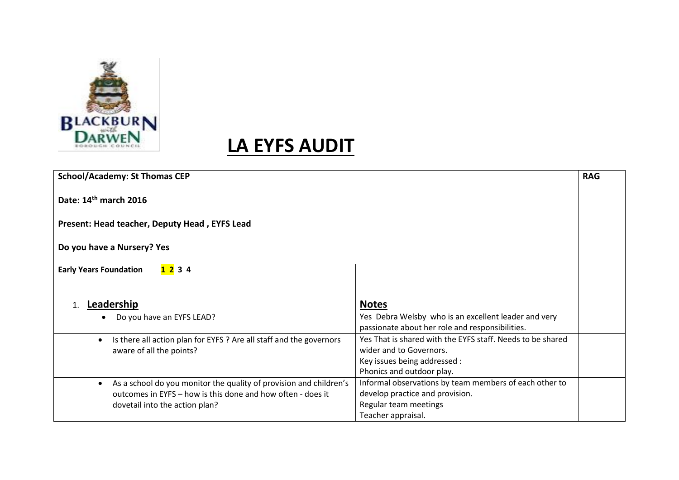

|  | <b>School/Academy: St Thomas CEP</b>                                             |                                                            | <b>RAG</b> |
|--|----------------------------------------------------------------------------------|------------------------------------------------------------|------------|
|  | Date: 14 <sup>th</sup> march 2016                                                |                                                            |            |
|  | Present: Head teacher, Deputy Head, EYFS Lead<br>Do you have a Nursery? Yes      |                                                            |            |
|  |                                                                                  |                                                            |            |
|  | 1234<br><b>Early Years Foundation</b>                                            |                                                            |            |
|  |                                                                                  |                                                            |            |
|  | Leadership<br>1.                                                                 | <b>Notes</b>                                               |            |
|  | Do you have an EYFS LEAD?                                                        | Yes Debra Welsby who is an excellent leader and very       |            |
|  |                                                                                  | passionate about her role and responsibilities.            |            |
|  | Is there all action plan for EYFS ? Are all staff and the governors<br>$\bullet$ | Yes That is shared with the EYFS staff. Needs to be shared |            |
|  | aware of all the points?                                                         | wider and to Governors.                                    |            |
|  |                                                                                  | Key issues being addressed :                               |            |
|  |                                                                                  | Phonics and outdoor play.                                  |            |
|  | As a school do you monitor the quality of provision and children's<br>$\bullet$  | Informal observations by team members of each other to     |            |
|  | outcomes in EYFS – how is this done and how often - does it                      | develop practice and provision.                            |            |
|  | dovetail into the action plan?                                                   | Regular team meetings                                      |            |
|  |                                                                                  | Teacher appraisal.                                         |            |
|  |                                                                                  |                                                            |            |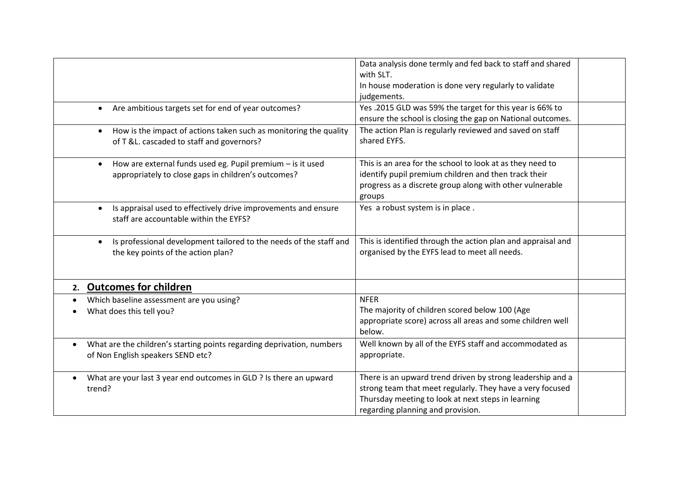|                                                                                                                                | Data analysis done termly and fed back to staff and shared<br>with SLT.<br>In house moderation is done very regularly to validate<br>judgements.                                                                   |
|--------------------------------------------------------------------------------------------------------------------------------|--------------------------------------------------------------------------------------------------------------------------------------------------------------------------------------------------------------------|
| Are ambitious targets set for end of year outcomes?<br>$\bullet$                                                               | Yes .2015 GLD was 59% the target for this year is 66% to<br>ensure the school is closing the gap on National outcomes.                                                                                             |
| How is the impact of actions taken such as monitoring the quality<br>$\bullet$<br>of T &L. cascaded to staff and governors?    | The action Plan is regularly reviewed and saved on staff<br>shared EYFS.                                                                                                                                           |
| How are external funds used eg. Pupil premium - is it used<br>$\bullet$<br>appropriately to close gaps in children's outcomes? | This is an area for the school to look at as they need to<br>identify pupil premium children and then track their<br>progress as a discrete group along with other vulnerable<br>groups                            |
| Is appraisal used to effectively drive improvements and ensure<br>$\bullet$<br>staff are accountable within the EYFS?          | Yes a robust system is in place.                                                                                                                                                                                   |
| Is professional development tailored to the needs of the staff and<br>$\bullet$<br>the key points of the action plan?          | This is identified through the action plan and appraisal and<br>organised by the EYFS lead to meet all needs.                                                                                                      |
| 2. Outcomes for children                                                                                                       |                                                                                                                                                                                                                    |
| Which baseline assessment are you using?<br>What does this tell you?                                                           | <b>NFER</b><br>The majority of children scored below 100 (Age<br>appropriate score) across all areas and some children well<br>below.                                                                              |
| What are the children's starting points regarding deprivation, numbers<br>$\bullet$<br>of Non English speakers SEND etc?       | Well known by all of the EYFS staff and accommodated as<br>appropriate.                                                                                                                                            |
| What are your last 3 year end outcomes in GLD ? Is there an upward<br>trend?                                                   | There is an upward trend driven by strong leadership and a<br>strong team that meet regularly. They have a very focused<br>Thursday meeting to look at next steps in learning<br>regarding planning and provision. |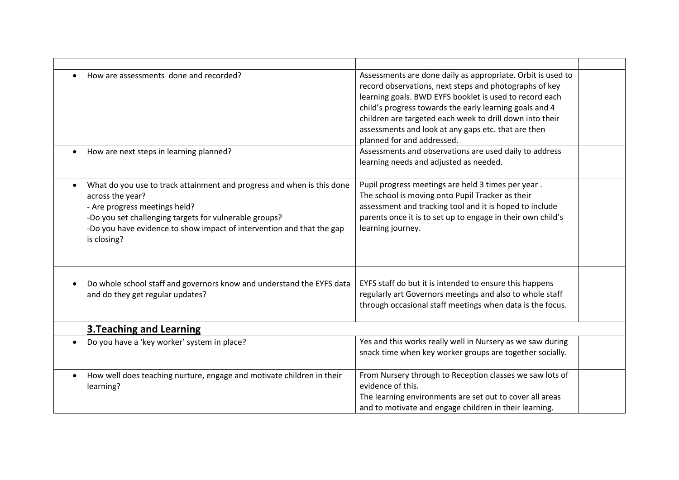| How are assessments done and recorded?                                                                                                                                                                                                                                        | Assessments are done daily as appropriate. Orbit is used to<br>record observations, next steps and photographs of key<br>learning goals. BWD EYFS booklet is used to record each<br>child's progress towards the early learning goals and 4<br>children are targeted each week to drill down into their<br>assessments and look at any gaps etc. that are then<br>planned for and addressed. |  |
|-------------------------------------------------------------------------------------------------------------------------------------------------------------------------------------------------------------------------------------------------------------------------------|----------------------------------------------------------------------------------------------------------------------------------------------------------------------------------------------------------------------------------------------------------------------------------------------------------------------------------------------------------------------------------------------|--|
| How are next steps in learning planned?                                                                                                                                                                                                                                       | Assessments and observations are used daily to address<br>learning needs and adjusted as needed.                                                                                                                                                                                                                                                                                             |  |
| What do you use to track attainment and progress and when is this done<br>across the year?<br>- Are progress meetings held?<br>-Do you set challenging targets for vulnerable groups?<br>-Do you have evidence to show impact of intervention and that the gap<br>is closing? | Pupil progress meetings are held 3 times per year.<br>The school is moving onto Pupil Tracker as their<br>assessment and tracking tool and it is hoped to include<br>parents once it is to set up to engage in their own child's<br>learning journey.                                                                                                                                        |  |
| Do whole school staff and governors know and understand the EYFS data<br>and do they get regular updates?                                                                                                                                                                     | EYFS staff do but it is intended to ensure this happens<br>regularly art Governors meetings and also to whole staff<br>through occasional staff meetings when data is the focus.                                                                                                                                                                                                             |  |
| <b>3. Teaching and Learning</b>                                                                                                                                                                                                                                               |                                                                                                                                                                                                                                                                                                                                                                                              |  |
| Do you have a 'key worker' system in place?<br>$\bullet$                                                                                                                                                                                                                      | Yes and this works really well in Nursery as we saw during<br>snack time when key worker groups are together socially.                                                                                                                                                                                                                                                                       |  |
| How well does teaching nurture, engage and motivate children in their<br>$\bullet$<br>learning?                                                                                                                                                                               | From Nursery through to Reception classes we saw lots of<br>evidence of this.<br>The learning environments are set out to cover all areas<br>and to motivate and engage children in their learning.                                                                                                                                                                                          |  |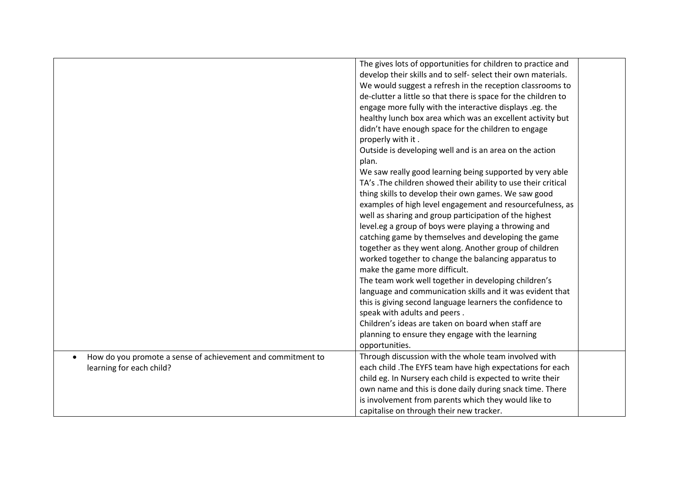|                                                                          | The gives lots of opportunities for children to practice and   |  |
|--------------------------------------------------------------------------|----------------------------------------------------------------|--|
|                                                                          | develop their skills and to self- select their own materials.  |  |
|                                                                          | We would suggest a refresh in the reception classrooms to      |  |
|                                                                          | de-clutter a little so that there is space for the children to |  |
|                                                                          | engage more fully with the interactive displays .eg. the       |  |
|                                                                          | healthy lunch box area which was an excellent activity but     |  |
|                                                                          | didn't have enough space for the children to engage            |  |
|                                                                          | properly with it.                                              |  |
|                                                                          | Outside is developing well and is an area on the action        |  |
|                                                                          | plan.                                                          |  |
|                                                                          | We saw really good learning being supported by very able       |  |
|                                                                          | TA's .The children showed their ability to use their critical  |  |
|                                                                          |                                                                |  |
|                                                                          | thing skills to develop their own games. We saw good           |  |
|                                                                          | examples of high level engagement and resourcefulness, as      |  |
|                                                                          | well as sharing and group participation of the highest         |  |
|                                                                          | level.eg a group of boys were playing a throwing and           |  |
|                                                                          | catching game by themselves and developing the game            |  |
|                                                                          | together as they went along. Another group of children         |  |
|                                                                          | worked together to change the balancing apparatus to           |  |
|                                                                          | make the game more difficult.                                  |  |
|                                                                          | The team work well together in developing children's           |  |
|                                                                          | language and communication skills and it was evident that      |  |
|                                                                          | this is giving second language learners the confidence to      |  |
|                                                                          | speak with adults and peers.                                   |  |
|                                                                          | Children's ideas are taken on board when staff are             |  |
|                                                                          | planning to ensure they engage with the learning               |  |
|                                                                          | opportunities.                                                 |  |
| How do you promote a sense of achievement and commitment to<br>$\bullet$ | Through discussion with the whole team involved with           |  |
| learning for each child?                                                 | each child . The EYFS team have high expectations for each     |  |
|                                                                          | child eg. In Nursery each child is expected to write their     |  |
|                                                                          | own name and this is done daily during snack time. There       |  |
|                                                                          | is involvement from parents which they would like to           |  |
|                                                                          | capitalise on through their new tracker.                       |  |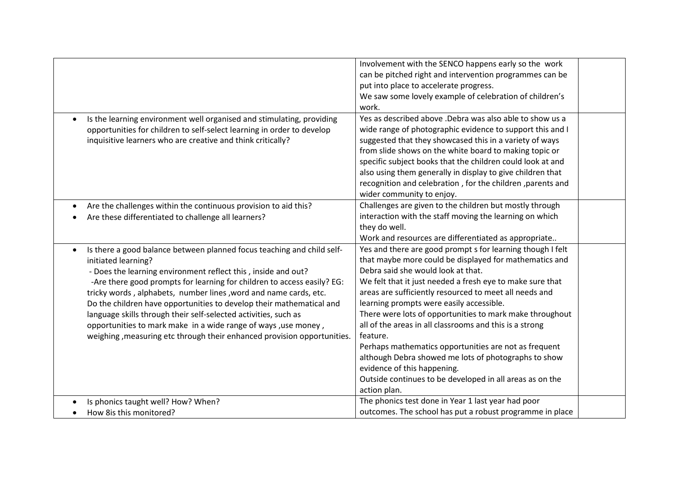|                                                                                                                                                                                                                                                                                                                                                                                                                                                                                                                                                                                                       | Involvement with the SENCO happens early so the work<br>can be pitched right and intervention programmes can be<br>put into place to accelerate progress.<br>We saw some lovely example of celebration of children's<br>work.                                                                                                                                                                                                                                                                                                                                                                                                                                                                |
|-------------------------------------------------------------------------------------------------------------------------------------------------------------------------------------------------------------------------------------------------------------------------------------------------------------------------------------------------------------------------------------------------------------------------------------------------------------------------------------------------------------------------------------------------------------------------------------------------------|----------------------------------------------------------------------------------------------------------------------------------------------------------------------------------------------------------------------------------------------------------------------------------------------------------------------------------------------------------------------------------------------------------------------------------------------------------------------------------------------------------------------------------------------------------------------------------------------------------------------------------------------------------------------------------------------|
| Is the learning environment well organised and stimulating, providing<br>opportunities for children to self-select learning in order to develop<br>inquisitive learners who are creative and think critically?                                                                                                                                                                                                                                                                                                                                                                                        | Yes as described above .Debra was also able to show us a<br>wide range of photographic evidence to support this and I<br>suggested that they showcased this in a variety of ways<br>from slide shows on the white board to making topic or<br>specific subject books that the children could look at and<br>also using them generally in display to give children that<br>recognition and celebration, for the children, parents and<br>wider community to enjoy.                                                                                                                                                                                                                            |
| Are the challenges within the continuous provision to aid this?<br>Are these differentiated to challenge all learners?                                                                                                                                                                                                                                                                                                                                                                                                                                                                                | Challenges are given to the children but mostly through<br>interaction with the staff moving the learning on which<br>they do well.<br>Work and resources are differentiated as appropriate                                                                                                                                                                                                                                                                                                                                                                                                                                                                                                  |
| Is there a good balance between planned focus teaching and child self-<br>initiated learning?<br>- Does the learning environment reflect this, inside and out?<br>-Are there good prompts for learning for children to access easily? EG:<br>tricky words, alphabets, number lines, word and name cards, etc.<br>Do the children have opportunities to develop their mathematical and<br>language skills through their self-selected activities, such as<br>opportunities to mark make in a wide range of ways, use money,<br>weighing, measuring etc through their enhanced provision opportunities. | Yes and there are good prompt s for learning though I felt<br>that maybe more could be displayed for mathematics and<br>Debra said she would look at that.<br>We felt that it just needed a fresh eye to make sure that<br>areas are sufficiently resourced to meet all needs and<br>learning prompts were easily accessible.<br>There were lots of opportunities to mark make throughout<br>all of the areas in all classrooms and this is a strong<br>feature.<br>Perhaps mathematics opportunities are not as frequent<br>although Debra showed me lots of photographs to show<br>evidence of this happening.<br>Outside continues to be developed in all areas as on the<br>action plan. |
| Is phonics taught well? How? When?<br>How 8is this monitored?                                                                                                                                                                                                                                                                                                                                                                                                                                                                                                                                         | The phonics test done in Year 1 last year had poor<br>outcomes. The school has put a robust programme in place                                                                                                                                                                                                                                                                                                                                                                                                                                                                                                                                                                               |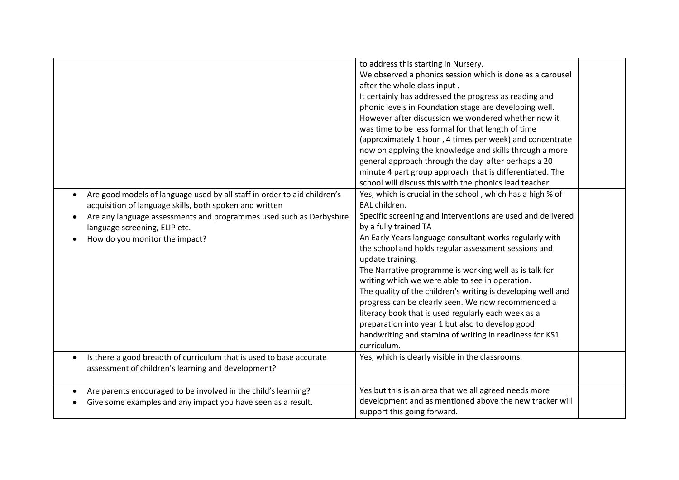|                                                                                                                                                                                                                                                                                                         | to address this starting in Nursery.<br>We observed a phonics session which is done as a carousel<br>after the whole class input.<br>It certainly has addressed the progress as reading and<br>phonic levels in Foundation stage are developing well.<br>However after discussion we wondered whether now it<br>was time to be less formal for that length of time<br>(approximately 1 hour, 4 times per week) and concentrate<br>now on applying the knowledge and skills through a more<br>general approach through the day after perhaps a 20<br>minute 4 part group approach that is differentiated. The<br>school will discuss this with the phonics lead teacher.                                                            |  |
|---------------------------------------------------------------------------------------------------------------------------------------------------------------------------------------------------------------------------------------------------------------------------------------------------------|------------------------------------------------------------------------------------------------------------------------------------------------------------------------------------------------------------------------------------------------------------------------------------------------------------------------------------------------------------------------------------------------------------------------------------------------------------------------------------------------------------------------------------------------------------------------------------------------------------------------------------------------------------------------------------------------------------------------------------|--|
| Are good models of language used by all staff in order to aid children's<br>$\bullet$<br>acquisition of language skills, both spoken and written<br>Are any language assessments and programmes used such as Derbyshire<br>$\bullet$<br>language screening, ELIP etc.<br>How do you monitor the impact? | Yes, which is crucial in the school, which has a high % of<br>EAL children.<br>Specific screening and interventions are used and delivered<br>by a fully trained TA<br>An Early Years language consultant works regularly with<br>the school and holds regular assessment sessions and<br>update training.<br>The Narrative programme is working well as is talk for<br>writing which we were able to see in operation.<br>The quality of the children's writing is developing well and<br>progress can be clearly seen. We now recommended a<br>literacy book that is used regularly each week as a<br>preparation into year 1 but also to develop good<br>handwriting and stamina of writing in readiness for KS1<br>curriculum. |  |
| Is there a good breadth of curriculum that is used to base accurate<br>$\bullet$<br>assessment of children's learning and development?                                                                                                                                                                  | Yes, which is clearly visible in the classrooms.                                                                                                                                                                                                                                                                                                                                                                                                                                                                                                                                                                                                                                                                                   |  |
| Are parents encouraged to be involved in the child's learning?<br>$\bullet$<br>Give some examples and any impact you have seen as a result.                                                                                                                                                             | Yes but this is an area that we all agreed needs more<br>development and as mentioned above the new tracker will<br>support this going forward.                                                                                                                                                                                                                                                                                                                                                                                                                                                                                                                                                                                    |  |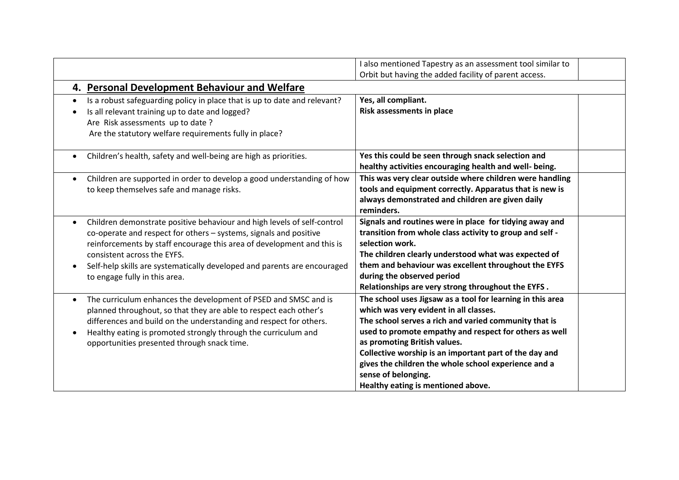|                                                                                                                                                                                                                                                                                                                                                                    | I also mentioned Tapestry as an assessment tool similar to<br>Orbit but having the added facility of parent access.                                                                                                                                                                                                                                                                                                                    |  |
|--------------------------------------------------------------------------------------------------------------------------------------------------------------------------------------------------------------------------------------------------------------------------------------------------------------------------------------------------------------------|----------------------------------------------------------------------------------------------------------------------------------------------------------------------------------------------------------------------------------------------------------------------------------------------------------------------------------------------------------------------------------------------------------------------------------------|--|
| 4. Personal Development Behaviour and Welfare                                                                                                                                                                                                                                                                                                                      |                                                                                                                                                                                                                                                                                                                                                                                                                                        |  |
| Is a robust safeguarding policy in place that is up to date and relevant?<br>$\bullet$<br>Is all relevant training up to date and logged?<br>Are Risk assessments up to date ?<br>Are the statutory welfare requirements fully in place?                                                                                                                           | Yes, all compliant.<br>Risk assessments in place                                                                                                                                                                                                                                                                                                                                                                                       |  |
| Children's health, safety and well-being are high as priorities.<br>$\bullet$                                                                                                                                                                                                                                                                                      | Yes this could be seen through snack selection and<br>healthy activities encouraging health and well- being.                                                                                                                                                                                                                                                                                                                           |  |
| Children are supported in order to develop a good understanding of how<br>to keep themselves safe and manage risks.                                                                                                                                                                                                                                                | This was very clear outside where children were handling<br>tools and equipment correctly. Apparatus that is new is<br>always demonstrated and children are given daily<br>reminders.                                                                                                                                                                                                                                                  |  |
| Children demonstrate positive behaviour and high levels of self-control<br>co-operate and respect for others - systems, signals and positive<br>reinforcements by staff encourage this area of development and this is<br>consistent across the EYFS.<br>Self-help skills are systematically developed and parents are encouraged<br>to engage fully in this area. | Signals and routines were in place for tidying away and<br>transition from whole class activity to group and self -<br>selection work.<br>The children clearly understood what was expected of<br>them and behaviour was excellent throughout the EYFS<br>during the observed period<br>Relationships are very strong throughout the EYFS.                                                                                             |  |
| The curriculum enhances the development of PSED and SMSC and is<br>$\bullet$<br>planned throughout, so that they are able to respect each other's<br>differences and build on the understanding and respect for others.<br>Healthy eating is promoted strongly through the curriculum and<br>$\bullet$<br>opportunities presented through snack time.              | The school uses Jigsaw as a tool for learning in this area<br>which was very evident in all classes.<br>The school serves a rich and varied community that is<br>used to promote empathy and respect for others as well<br>as promoting British values.<br>Collective worship is an important part of the day and<br>gives the children the whole school experience and a<br>sense of belonging.<br>Healthy eating is mentioned above. |  |